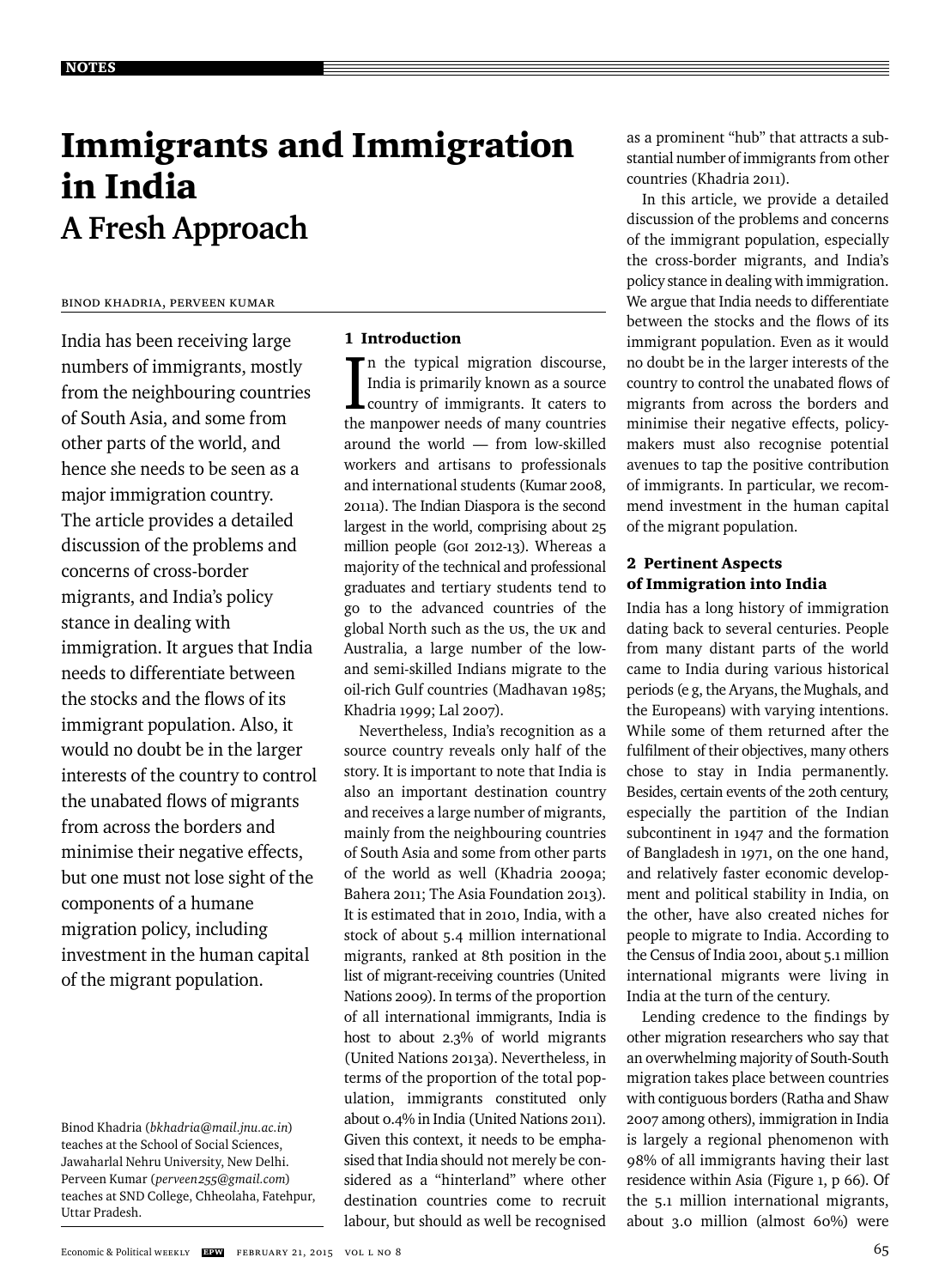# Immigrants and Immigration in India **A Fresh Approach**

### Binod Khadria, Perveen Kumar

India has been receiving large numbers of immigrants, mostly from the neighbouring countries of South Asia, and some from other parts of the world, and hence she needs to be seen as a major immigration country. The article provides a detailed discussion of the problems and concerns of cross-border migrants, and India's policy stance in dealing with immigration. It argues that India needs to differentiate between the stocks and the flows of its immigrant population. Also, it would no doubt be in the larger interests of the country to control the unabated flows of migrants from across the borders and minimise their negative effects, but one must not lose sight of the components of a humane migration policy, including investment in the human capital of the migrant population.

#### 1 Introduction

In the typical migration discourse,<br>India is primarily known as a source<br>country of immigrants. It caters to n the typical migration discourse, India is primarily known as a source the manpower needs of many countries around the world — from low-skilled workers and artisans to professionals and international students (Kumar 2008, 2011a). The Indian Diaspora is the second largest in the world, comprising about 25 million people (GOI 2012-13). Whereas a majority of the technical and professional graduates and tertiary students tend to go to the advanced countries of the global North such as the US, the UK and Australia, a large number of the lowand semi-skilled Indians migrate to the oil-rich Gulf countries (Madhavan 1985; Khadria 1999; Lal 2007).

Nevertheless, India's recognition as a source country reveals only half of the story. It is important to note that India is also an important destination country and receives a large number of migrants, mainly from the neighbouring countries of South Asia and some from other parts of the world as well (Khadria 2009a; Bahera 2011; The Asia Foundation 2013). It is estimated that in 2010, India, with a stock of about 5.4 million international migrants, ranked at 8th position in the list of migrant-receiving countries (United Nations 2009). In terms of the proportion of all international immigrants, India is host to about 2.3% of world migrants (United Nations 2013a). Nevertheless, in terms of the proportion of the total population, immigrants constituted only about 0.4% in India (United Nations 2011). Given this context, it needs to be emphasised that India should not merely be considered as a "hinterland" where other destination countries come to recruit labour, but should as well be recognised

as a prominent "hub" that attracts a substantial number of immigrants from other countries (Khadria 2011).

In this article, we provide a detailed discussion of the problems and concerns of the immigrant population, especially the cross-border migrants, and India's policy stance in dealing with immigration. We argue that India needs to differentiate between the stocks and the flows of its immigrant population. Even as it would no doubt be in the larger interests of the country to control the unabated flows of migrants from across the borders and minimise their negative effects, policymakers must also recognise potential avenues to tap the positive contribution of immigrants. In particular, we recommend investment in the human capital of the migrant population.

#### 2 Pertinent Aspects of Immigration into India

India has a long history of immigration dating back to several centuries. People from many distant parts of the world came to India during various historical periods (e g, the Aryans, the Mughals, and the Europeans) with varying intentions. While some of them returned after the fulfilment of their objectives, many others chose to stay in India permanently. Besides, certain events of the 20th century, especially the partition of the Indian subcontinent in 1947 and the formation of Bangladesh in 1971, on the one hand, and relatively faster economic development and political stability in India, on the other, have also created niches for people to migrate to India. According to the Census of India 2001, about 5.1 million international migrants were living in India at the turn of the century.

Lending credence to the findings by other migration researchers who say that an overwhelming majority of South-South migration takes place between countries with contiguous borders (Ratha and Shaw 2007 among others), immigration in India is largely a regional phenomenon with 98% of all immigrants having their last residence within Asia (Figure 1, p 66). Of the 5.1 million international migrants, about 3.0 million (almost 60%) were

Binod Khadria (*bkhadria@mail.jnu.ac.in*) teaches at the School of Social Sciences, Jawaharlal Nehru University, New Delhi. Perveen Kumar (*perveen255@gmail.com*) teaches at SND College, Chheolaha, Fatehpur, Uttar Pradesh.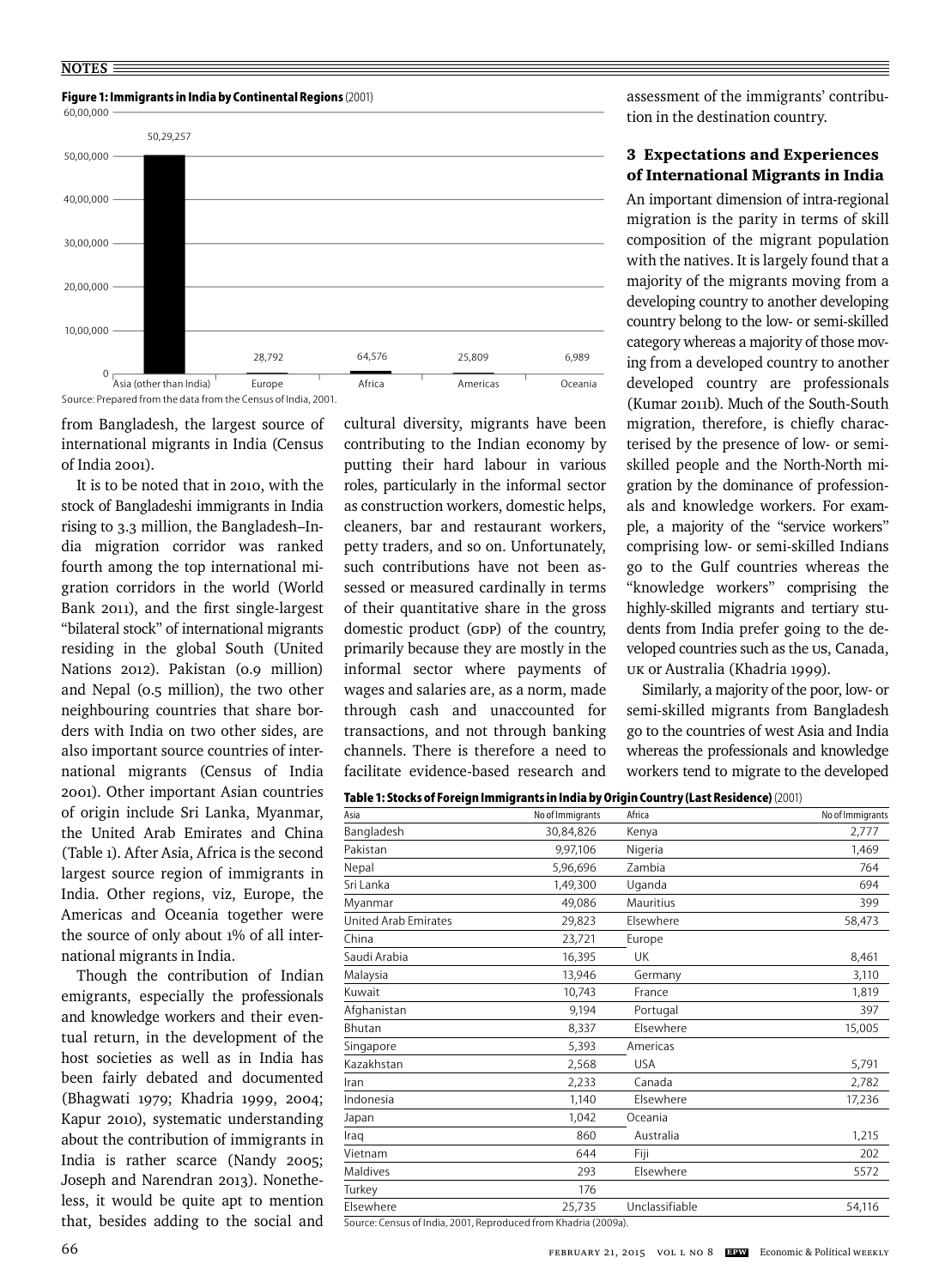

from Bangladesh, the largest source of international migrants in India (Census of India 2001).

It is to be noted that in 2010, with the stock of Bangladeshi immigrants in India rising to 3.3 million, the Bangladesh–India migration corridor was ranked fourth among the top international migration corridors in the world (World Bank 2011), and the first single-largest "bilateral stock" of international migrants residing in the global South (United Nations 2012). Pakistan (0.9 million) and Nepal (0.5 million), the two other neighbouring countries that share borders with India on two other sides, are also important source countries of international migrants (Census of India 2001). Other important Asian countries of origin include Sri Lanka, Myanmar, the United Arab Emirates and China (Table 1). After Asia, Africa is the second largest source region of immigrants in India. Other regions, viz, Europe, the Americas and Oceania together were the source of only about 1% of all international migrants in India.

Though the contribution of Indian emigrants, especially the professionals and knowledge workers and their eventual return, in the development of the host societies as well as in India has been fairly debated and documented (Bhagwati 1979; Khadria 1999, 2004; Kapur 2010), systematic understanding about the contribution of immigrants in India is rather scarce (Nandy 2005; Joseph and Narendran 2013). Nonetheless, it would be quite apt to mention that, besides adding to the social and cultural diversity, migrants have been contributing to the Indian economy by putting their hard labour in various roles, particularly in the informal sector as construction workers, domestic helps, cleaners, bar and restaurant workers, petty traders, and so on. Unfortunately, such contributions have not been assessed or measured cardinally in terms of their quantitative share in the gross domestic product (GDP) of the country, primarily because they are mostly in the informal sector where payments of wages and salaries are, as a norm, made through cash and unaccounted for transactions, and not through banking channels. There is therefore a need to facilitate evidence-based research and assessment of the immigrants' contribution in the destination country.

#### 3 Expectations and Experiences of International Migrants in India

An important dimension of intra-regional migration is the parity in terms of skill composition of the migrant population with the natives. It is largely found that a majority of the migrants moving from a developing country to another developing country belong to the low- or semi-skilled category whereas a majority of those moving from a developed country to another developed country are professionals (Kumar 2011b). Much of the South-South migration, therefore, is chiefly characterised by the presence of low- or semiskilled people and the North-North migration by the dominance of professionals and knowledge workers. For example, a majority of the "service workers" comprising low- or semi-skilled Indians go to the Gulf countries whereas the "knowledge workers" comprising the highly-skilled migrants and tertiary students from India prefer going to the developed countries such as the US, Canada, UK or Australia (Khadria 1999).

Similarly, a majority of the poor, low- or semi-skilled migrants from Bangladesh go to the countries of west Asia and India whereas the professionals and knowledge workers tend to migrate to the developed

| <b>Table 1: Stocks of Foreign Immigrants in India by Origin Country (Last Residence)</b> (2001) |  |
|-------------------------------------------------------------------------------------------------|--|
|-------------------------------------------------------------------------------------------------|--|

| Asia                        | No of Immigrants | Africa         | No of Immigrants |
|-----------------------------|------------------|----------------|------------------|
| Bangladesh                  | 30,84,826        | Kenya          | 2,777            |
| Pakistan                    | 9,97,106         | Nigeria        | 1,469            |
| Nepal                       | 5,96,696         | Zambia         | 764              |
| Sri Lanka                   | 1,49,300         | Uganda         | 694              |
| Myanmar                     | 49,086           | Mauritius      | 399              |
| <b>United Arab Emirates</b> | 29,823           | Elsewhere      | 58,473           |
| China                       | 23,721           | Europe         |                  |
| Saudi Arabia                | 16,395           | <b>UK</b>      | 8,461            |
| Malaysia                    | 13,946           | Germany        | 3,110            |
| Kuwait                      | 10,743           | France         | 1,819            |
| Afghanistan                 | 9,194            | Portugal       | 397              |
| <b>Bhutan</b>               | 8,337            | Flsewhere      | 15,005           |
| Singapore                   | 5,393            | Americas       |                  |
| Kazakhstan                  | 2,568            | <b>USA</b>     | 5,791            |
| Iran                        | 2,233            | Canada         | 2,782            |
| Indonesia                   | 1.140            | Elsewhere      | 17,236           |
| Japan                       | 1,042            | Oceania        |                  |
| Iraq                        | 860              | Australia      | 1,215            |
| Vietnam                     | 644              | Fiji           | 202              |
| Maldives                    | 293              | Elsewhere      | 5572             |
| Turkey                      | 176              |                |                  |
| Elsewhere                   | 25,735           | Unclassifiable | 54,116           |

Source: Census of India, 2001, Reproduced from Khadria (2009a).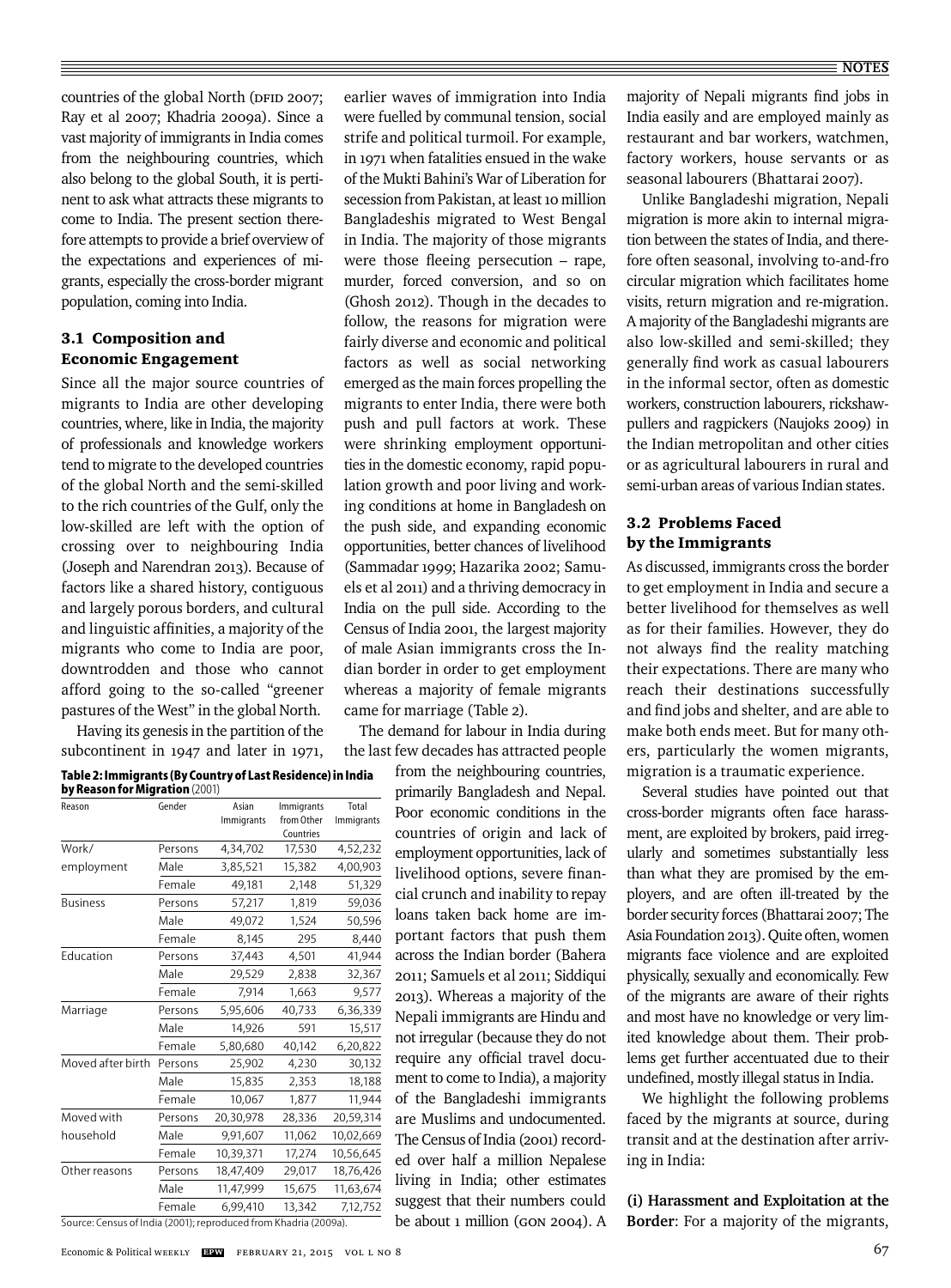countries of the global North (DFID 2007; Ray et al 2007; Khadria 2009a). Since a vast majority of immigrants in India comes from the neighbouring countries, which also belong to the global South, it is pertinent to ask what attracts these migrants to come to India. The present section therefore attempts to provide a brief overview of the expectations and experiences of migrants, especially the cross-border migrant population, coming into India.

### 3.1 Composition and Economic Engagement

Since all the major source countries of migrants to India are other developing countries, where, like in India, the majority of professionals and knowledge workers tend to migrate to the developed countries of the global North and the semi-skilled to the rich countries of the Gulf, only the low-skilled are left with the option of crossing over to neighbouring India (Joseph and Narendran 2013). Because of factors like a shared history, contiguous and largely porous borders, and cultural and linguistic affinities, a majority of the migrants who come to India are poor, downtrodden and those who cannot afford going to the so-called "greener pastures of the West" in the global North.

Having its genesis in the partition of the subcontinent in 1947 and later in 1971,

|                                |  | Table 2: Immigrants (By Country of Last Residence) in India |  |
|--------------------------------|--|-------------------------------------------------------------|--|
| hu Doncon for Misrotion (2001) |  |                                                             |  |

|                   | by Reason for Migration (2001) |                     |                                       |                     |  |  |  |  |
|-------------------|--------------------------------|---------------------|---------------------------------------|---------------------|--|--|--|--|
| Reason            | Gender                         | Asian<br>Immigrants | Immigrants<br>from Other<br>Countries | Total<br>Immigrants |  |  |  |  |
| Work/             | Persons                        | 4,34,702            | 17,530                                | 4,52,232            |  |  |  |  |
| employment        | Male                           | 3,85,521            | 15,382                                | 4,00,903            |  |  |  |  |
|                   | Female                         | 49,181              | 2,148                                 | 51,329              |  |  |  |  |
| <b>Business</b>   | Persons                        | 57,217              | 1,819                                 | 59,036              |  |  |  |  |
|                   | Male                           | 49,072              | 1,524                                 | 50,596              |  |  |  |  |
|                   | Female                         | 8,145               | 295                                   | 8.440               |  |  |  |  |
| Education         | Persons                        | 37,443              | 4,501                                 | 41,944              |  |  |  |  |
|                   | Male                           | 29,529              | 2,838                                 | 32,367              |  |  |  |  |
|                   | Female                         | 7,914               | 1,663                                 | 9,577               |  |  |  |  |
| Marriage          | Persons                        | 5,95,606            | 40,733                                | 6,36,339            |  |  |  |  |
|                   | Male                           | 14,926              | 591                                   | 15,517              |  |  |  |  |
|                   | Female                         | 5,80,680            | 40,142                                | 6,20,822            |  |  |  |  |
| Moved after birth | Persons                        | 25,902              | 4,230                                 | 30,132              |  |  |  |  |
|                   | Male                           | 15,835              | 2,353                                 | 18,188              |  |  |  |  |
|                   | Female                         | 10,067              | 1,877                                 | 11,944              |  |  |  |  |
| Moved with        | Persons                        | 20,30,978           | 28,336                                | 20,59,314           |  |  |  |  |
| household         | Male                           | 9,91,607            | 11,062                                | 10,02,669           |  |  |  |  |
|                   | Female                         | 10,39,371           | 17,274                                | 10,56,645           |  |  |  |  |
| Other reasons     | Persons                        | 18,47,409           | 29,017                                | 18,76,426           |  |  |  |  |
|                   | Male                           | 11,47,999           | 15,675                                | 11,63,674           |  |  |  |  |
|                   | Female                         | 6,99,410            | 13,342                                | 7,12,752            |  |  |  |  |

Source: Census of India (2001); reproduced from Khadria (2009a).

earlier waves of immigration into India were fuelled by communal tension, social strife and political turmoil. For example, in 1971 when fatalities ensued in the wake of the Mukti Bahini's War of Liberation for secession from Pakistan, at least 10 million Bangladeshis migrated to West Bengal in India. The majority of those migrants were those fleeing persecution  $-$  rape, murder, forced conversion, and so on (Ghosh 2012). Though in the decades to follow, the reasons for migration were fairly diverse and economic and political factors as well as social networking emerged as the main forces propelling the migrants to enter India, there were both push and pull factors at work. These were shrinking employment opportunities in the domestic economy, rapid population growth and poor living and working conditions at home in Bangladesh on the push side, and expanding economic opportunities, better chances of livelihood (Sammadar 1999; Hazarika 2002; Samuels et al 2011) and a thriving democracy in India on the pull side. According to the Census of India 2001, the largest majority of male Asian immigrants cross the Indian border in order to get employment whereas a majority of female migrants came for marriage (Table 2).

The demand for labour in India during the last few decades has attracted people

from the neighbouring countries, primarily Bangladesh and Nepal. Poor economic conditions in the countries of origin and lack of employment opportunities, lack of livelihood options, severe financial crunch and inability to repay loans taken back home are important factors that push them across the Indian border (Bahera 2011; Samuels et al 2011; Siddiqui 2013). Whereas a majority of the Nepali immigrants are Hindu and not irregular (because they do not require any official travel document to come to India), a majority of the Bangladeshi immigrants are Muslims and undocumented. The Census of India (2001) recorded over half a million Nepalese living in India; other estimates suggest that their numbers could be about 1 million (GON 2004). A majority of Nepali migrants find jobs in India easily and are employed mainly as restaurant and bar workers, watchmen, factory workers, house servants or as seasonal labourers (Bhattarai 2007).

Unlike Bangladeshi migration, Nepali migration is more akin to internal migration between the states of India, and therefore often seasonal, involving to-and-fro circular migration which facilitates home visits, return migration and re-migration. A majority of the Bangladeshi migrants are also low-skilled and semi-skilled; they generally find work as casual labourers in the informal sector, often as domestic workers, construction labourers, rickshawpullers and ragpickers (Naujoks 2009) in the Indian metropolitan and other cities or as agricultural labourers in rural and semi-urban areas of various Indian states.

# 3.2 Problems Faced by the Immigrants

As discussed, immigrants cross the border to get employment in India and secure a better livelihood for themselves as well as for their families. However, they do not always find the reality matching their expectations. There are many who reach their destinations successfully and find jobs and shelter, and are able to make both ends meet. But for many others, particularly the women migrants, migration is a traumatic experience.

Several studies have pointed out that cross-border migrants often face harassment, are exploited by brokers, paid irregularly and sometimes substantially less than what they are promised by the employers, and are often ill-treated by the border security forces (Bhattarai 2007; The Asia Foundation 2013). Quite often, women migrants face violence and are exploited physically, sexually and economically. Few of the migrants are aware of their rights and most have no knowledge or very limited knowledge about them. Their problems get further accentuated due to their undefined, mostly illegal status in India.

We highlight the following problems faced by the migrants at source, during transit and at the destination after arriving in India:

**(i) Harassment and Exploitation at the Border**: For a majority of the migrants,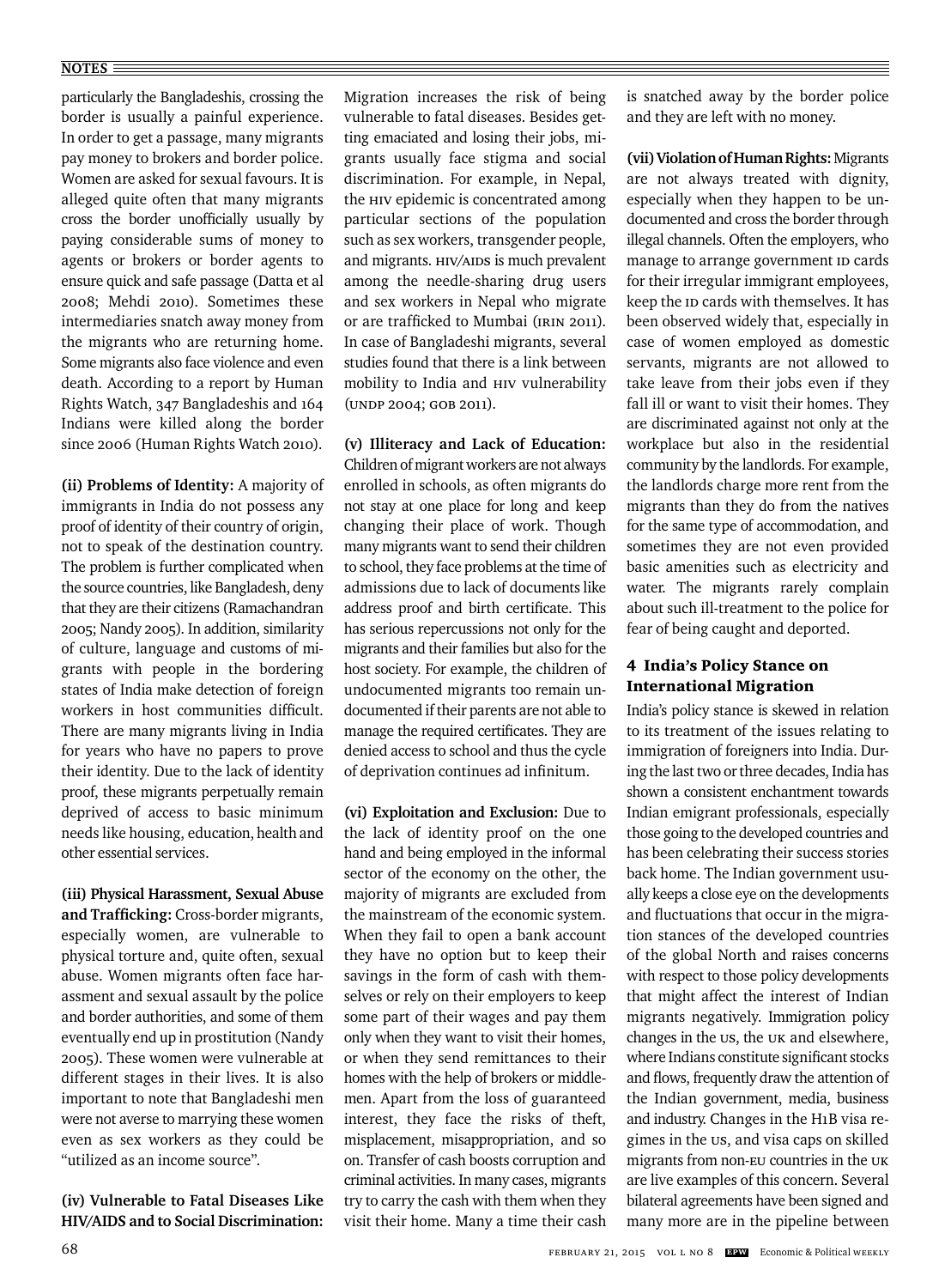#### **NOTES**

particularly the Bangladeshis, crossing the border is usually a painful experience. In order to get a passage, many migrants pay money to brokers and border police. Women are asked for sexual favours. It is alleged quite often that many migrants cross the border unofficially usually by paying considerable sums of money to agents or brokers or border agents to ensure quick and safe passage (Datta et al 2008; Mehdi 2010). Sometimes these intermediaries snatch away money from the migrants who are returning home. Some migrants also face violence and even death. According to a report by Human Rights Watch, 347 Bangladeshis and 164 Indians were killed along the border since 2006 (Human Rights Watch 2010).

**(ii) Problems of Identity:** A majority of immigrants in India do not possess any proof of identity of their country of origin, not to speak of the destination country. The problem is further complicated when the source countries, like Bangladesh, deny that they are their citizens (Ramachandran 2005; Nandy 2005). In addition, similarity of culture, language and customs of migrants with people in the bordering states of India make detection of foreign workers in host communities difficult. There are many migrants living in India for years who have no papers to prove their identity. Due to the lack of identity proof, these migrants perpetually remain deprived of access to basic minimum needs like housing, education, health and other essential services.

**(iii) Physical Harassment, Sexual Abuse**  and Trafficking: Cross-border migrants, especially women, are vulnerable to physical torture and, quite often, sexual abuse. Women migrants often face harassment and sexual assault by the police and border authorities, and some of them eventually end up in prostitution (Nandy 2005). These women were vulnerable at different stages in their lives. It is also important to note that Bangladeshi men were not averse to marrying these women even as sex workers as they could be "utilized as an income source".

**(iv) Vulnerable to Fatal Diseases Like HIV/AIDS and to Social Discrimination:** 

Migration increases the risk of being vulnerable to fatal diseases. Besides getting emaciated and losing their jobs, migrants usually face stigma and social discrimination. For example, in Nepal, the HIV epidemic is concentrated among particular sections of the population such as sex workers, transgender people, and migrants. HIV/AIDS is much prevalent among the needle-sharing drug users and sex workers in Nepal who migrate or are trafficked to Mumbai (IRIN 2011). In case of Bangladeshi migrants, several studies found that there is a link between mobility to India and HIV vulnerability (UNDP 2004; GOB 2011).

#### **(v) Illiteracy and Lack of Education:**

Children of migrant workers are not always enrolled in schools, as often migrants do not stay at one place for long and keep changing their place of work. Though many migrants want to send their children to school, they face problems at the time of admissions due to lack of documents like address proof and birth certificate. This has serious repercussions not only for the migrants and their families but also for the host society. For example, the children of undocumented migrants too remain undocumented if their parents are not able to manage the required certificates. They are denied access to school and thus the cycle of deprivation continues ad infinitum.

**(vi) Exploitation and Exclusion:** Due to the lack of identity proof on the one hand and being employed in the informal sector of the economy on the other, the majority of migrants are excluded from the mainstream of the economic system. When they fail to open a bank account they have no option but to keep their savings in the form of cash with themselves or rely on their employers to keep some part of their wages and pay them only when they want to visit their homes, or when they send remittances to their homes with the help of brokers or middlemen. Apart from the loss of guaranteed interest, they face the risks of theft, misplacement, misappropriation, and so on. Transfer of cash boosts corruption and criminal activities. In many cases, migrants try to carry the cash with them when they visit their home. Many a time their cash is snatched away by the border police and they are left with no money.

**(vii)Violation of Human Rights:** Migrants are not always treated with dignity, especially when they happen to be undocumented and cross the border through illegal channels. Often the employers, who manage to arrange government ID cards for their irregular immigrant employees, keep the ID cards with themselves. It has been observed widely that, especially in case of women employed as domestic servants, migrants are not allowed to take leave from their jobs even if they fall ill or want to visit their homes. They are discriminated against not only at the workplace but also in the residential community by the landlords. For example, the landlords charge more rent from the migrants than they do from the natives for the same type of accommodation, and sometimes they are not even provided basic amenities such as electricity and water. The migrants rarely complain about such ill-treatment to the police for fear of being caught and deported.

# 4 India's Policy Stance on International Migration

India's policy stance is skewed in relation to its treatment of the issues relating to immigration of foreigners into India. During the last two or three decades, India has shown a consistent enchantment towards Indian emigrant professionals, especially those going to the developed countries and has been celebrating their success stories back home. The Indian government usually keeps a close eye on the developments and fluctuations that occur in the migration stances of the developed countries of the global North and raises concerns with respect to those policy developments that might affect the interest of Indian migrants negatively. Immigration policy changes in the US, the UK and elsewhere, where Indians constitute significant stocks and flows, frequently draw the attention of the Indian government, media, business and industry. Changes in the H1B visa regimes in the US, and visa caps on skilled migrants from non-EU countries in the UK are live examples of this concern. Several bilateral agreements have been signed and many more are in the pipeline between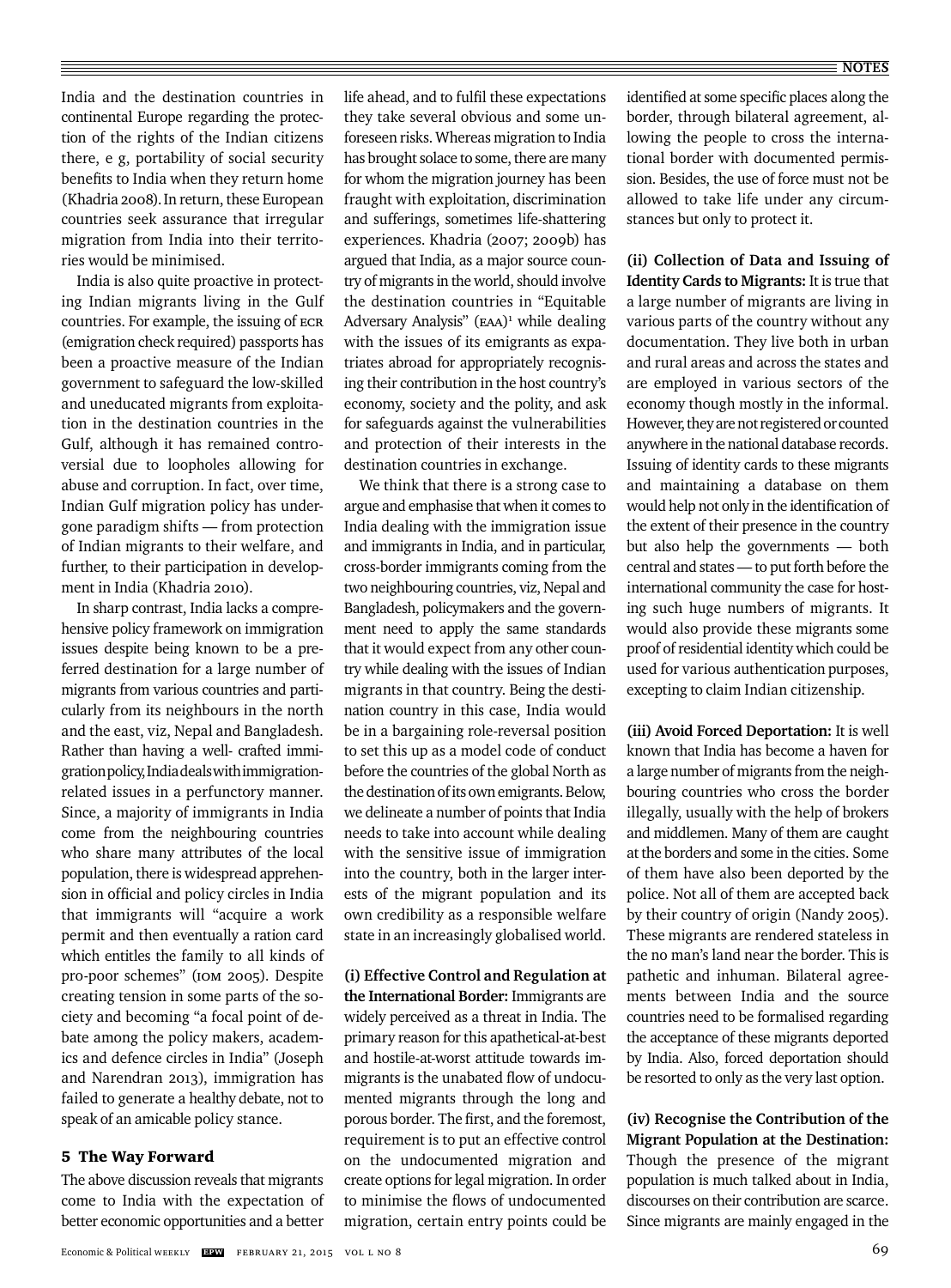India and the destination countries in continental Europe regarding the protection of the rights of the Indian citizens there, e g, portability of social security benefits to India when they return home (Khadria 2008).In return, these European countries seek assurance that irregular migration from India into their territories would be minimised.

India is also quite proactive in protecting Indian migrants living in the Gulf countries. For example, the issuing of ECR (emigration check required) passports has been a proactive measure of the Indian government to safeguard the low-skilled and uneducated migrants from exploitation in the destination countries in the Gulf, although it has remained controversial due to loopholes allowing for abuse and corruption. In fact, over time, Indian Gulf migration policy has undergone paradigm shifts — from protection of Indian migrants to their welfare, and further, to their participation in development in India (Khadria 2010).

In sharp contrast, India lacks a comprehensive policy framework on immigration issues despite being known to be a preferred destination for a large number of migrants from various countries and particularly from its neighbours in the north and the east, viz, Nepal and Bangladesh. Rather than having a well- crafted immigration policy, India deals with immigrationrelated issues in a perfunctory manner. Since, a majority of immigrants in India come from the neighbouring countries who share many attributes of the local population, there is widespread apprehension in official and policy circles in India that immigrants will "acquire a work permit and then eventually a ration card which entitles the family to all kinds of pro-poor schemes" (IOM 2005). Despite creating tension in some parts of the society and becoming "a focal point of debate among the policy makers, academics and defence circles in India" (Joseph and Narendran 2013), immigration has failed to generate a healthy debate, not to speak of an amicable policy stance.

#### 5 The Way Forward

The above discussion reveals that migrants come to India with the expectation of better economic opportunities and a better

life ahead, and to fulfil these expectations they take several obvious and some unforeseen risks. Whereas migration to India has brought solace to some, there are many for whom the migration journey has been fraught with exploitation, discrimination and sufferings, sometimes life-shattering experiences. Khadria (2007; 2009b) has argued that India, as a major source country of migrants in the world, should involve the destination countries in "Equitable Adversary Analysis" (EAA)<sup>1</sup> while dealing with the issues of its emigrants as expatriates abroad for appropriately recognising their contribution in the host country's economy, society and the polity, and ask for safeguards against the vulnerabilities and protection of their interests in the destination countries in exchange.

We think that there is a strong case to argue and emphasise that when it comes to India dealing with the immigration issue and immigrants in India, and in particular, cross-border immigrants coming from the two neighbouring countries, viz, Nepal and Bangladesh, policymakers and the government need to apply the same standards that it would expect from any other country while dealing with the issues of Indian migrants in that country. Being the destination country in this case, India would be in a bargaining role-reversal position to set this up as a model code of conduct before the countries of the global North as the destination of its own emigrants. Below, we delineate a number of points that India needs to take into account while dealing with the sensitive issue of immigration into the country, both in the larger interests of the migrant population and its own credibility as a responsible welfare state in an increasingly globalised world.

**(i) Effective Control and Regulation at the International Border:** Immigrants are widely perceived as a threat in India. The primary reason for this apathetical-at-best and hostile-at-worst attitude towards immigrants is the unabated flow of undocumented migrants through the long and porous border. The first, and the foremost, requirement is to put an effective control on the undocumented migration and create options for legal migration. In order to minimise the flows of undocumented migration, certain entry points could be

identified at some specific places along the border, through bilateral agreement, allowing the people to cross the international border with documented permission. Besides, the use of force must not be allowed to take life under any circumstances but only to protect it.

**(ii) Collection of Data and Issuing of Identity Cards to Migrants:** It is true that a large number of migrants are living in various parts of the country without any documentation. They live both in urban and rural areas and across the states and are employed in various sectors of the economy though mostly in the informal. However, they are not registered or counted anywhere in the national database records. Issuing of identity cards to these migrants and maintaining a database on them would help not only in the identification of the extent of their presence in the country but also help the governments — both central and states — to put forth before the international community the case for hosting such huge numbers of migrants. It would also provide these migrants some proof of residential identity which could be used for various authentication purposes, excepting to claim Indian citizenship.

**(iii) Avoid Forced Deportation:** It is well known that India has become a haven for a large number of migrants from the neighbouring countries who cross the border illegally, usually with the help of brokers and middlemen. Many of them are caught at the borders and some in the cities. Some of them have also been deported by the police. Not all of them are accepted back by their country of origin (Nandy 2005). These migrants are rendered stateless in the no man's land near the border. This is pathetic and inhuman. Bilateral agreements between India and the source countries need to be formalised regarding the acceptance of these migrants deported by India. Also, forced deportation should be resorted to only as the very last option.

**(iv) Recognise the Contribution of the Migrant Population at the Destination:**  Though the presence of the migrant population is much talked about in India, discourses on their contribution are scarce. Since migrants are mainly engaged in the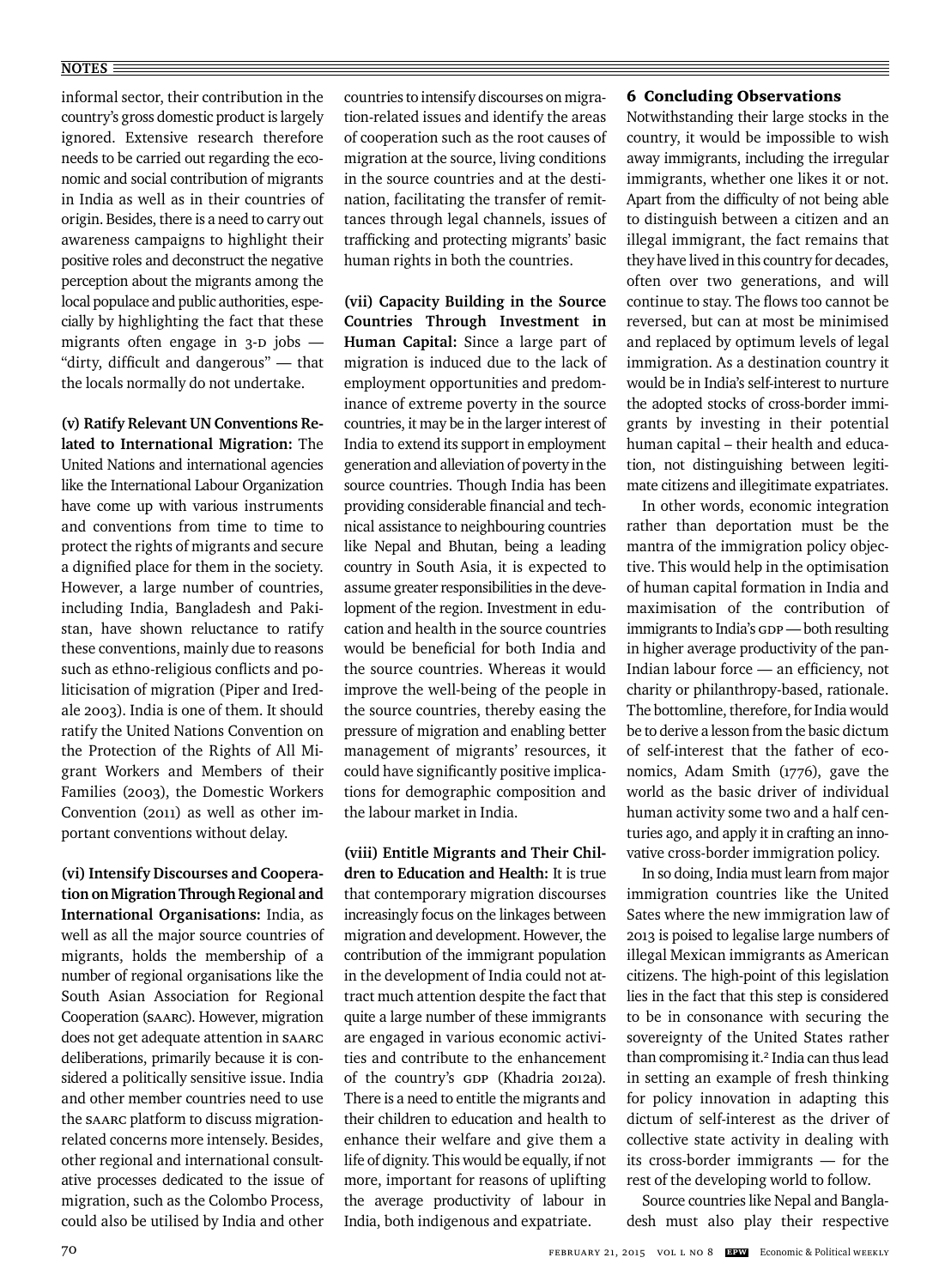#### **NOTES**

informal sector, their contribution in the country's gross domestic product is largely ignored. Extensive research therefore needs to be carried out regarding the economic and social contribution of migrants in India as well as in their countries of origin. Besides, there is a need to carry out awareness campaigns to highlight their positive roles and deconstruct the negative perception about the migrants among the local populace and public authorities, especially by highlighting the fact that these migrants often engage in 3-D jobs — "dirty, difficult and dangerous"  $-$  that the locals normally do not undertake.

**(v) Ratify Relevant UN Conventions Related to International Migration:** The United Nations and international agencies like the International Labour Organization have come up with various instruments and conventions from time to time to protect the rights of migrants and secure a dignified place for them in the society. However, a large number of countries, including India, Bangladesh and Pakistan, have shown reluctance to ratify these conventions, mainly due to reasons such as ethno-religious conflicts and politicisation of migration (Piper and Iredale 2003). India is one of them. It should ratify the United Nations Convention on the Protection of the Rights of All Migrant Workers and Members of their Families (2003), the Domestic Workers Convention (2011) as well as other important conventions without delay.

**(vi) Intensify Discourses and Cooperation on Migration Through Regional and International Organisations:** India, as well as all the major source countries of migrants, holds the membership of a number of regional organisations like the South Asian Association for Regional Cooperation (SAARC). However, migration does not get adequate attention in SAARC deliberations, primarily because it is considered a politically sensitive issue. India and other member countries need to use the SAARC platform to discuss migrationrelated concerns more intensely. Besides, other regional and international consultative processes dedicated to the issue of migration, such as the Colombo Process, could also be utilised by India and other countries to intensify discourses on migration-related issues and identify the areas of cooperation such as the root causes of migration at the source, living conditions in the source countries and at the destination, facilitating the transfer of remittances through legal channels, issues of trafficking and protecting migrants' basic human rights in both the countries.

**(vii) Capacity Building in the Source Countries Through Investment in Human Capital:** Since a large part of migration is induced due to the lack of employment opportunities and predominance of extreme poverty in the source countries, it may be in the larger interest of India to extend its support in employment generation and alleviation of poverty in the source countries. Though India has been providing considerable financial and technical assistance to neighbouring countries like Nepal and Bhutan, being a leading country in South Asia, it is expected to assume greater responsibilities in the development of the region. Investment in education and health in the source countries would be beneficial for both India and the source countries. Whereas it would improve the well-being of the people in the source countries, thereby easing the pressure of migration and enabling better management of migrants' resources, it could have significantly positive implications for demographic composition and the labour market in India.

**(viii) Entitle Migrants and Their Children to Education and Health:** It is true that contemporary migration discourses increasingly focus on the linkages between migration and development. However, the contribution of the immigrant population in the development of India could not attract much attention despite the fact that quite a large number of these immigrants are engaged in various economic activities and contribute to the enhancement of the country's GDP (Khadria 2012a). There is a need to entitle the migrants and their children to education and health to enhance their welfare and give them a life of dignity. This would be equally, if not more, important for reasons of uplifting the average productivity of labour in India, both indigenous and expatriate.

#### 6 Concluding Observations

Notwithstanding their large stocks in the country, it would be impossible to wish away immigrants, including the irregular immigrants, whether one likes it or not. Apart from the difficulty of not being able to distinguish between a citizen and an illegal immigrant, the fact remains that they have lived in this country for decades, often over two generations, and will continue to stay. The flows too cannot be reversed, but can at most be minimised and replaced by optimum levels of legal immigration. As a destination country it would be in India's self-interest to nurture the adopted stocks of cross-border immigrants by investing in their potential human capital – their health and education, not distinguishing between legitimate citizens and illegitimate expatriates.

In other words, economic integration rather than deportation must be the mantra of the immigration policy objective. This would help in the optimisation of human capital formation in India and maximisation of the contribution of immigrants to India's GDP — both resulting in higher average productivity of the pan-Indian labour force - an efficiency, not charity or philanthropy-based, rationale. The bottomline, therefore, for India would be to derive a lesson from the basic dictum of self-interest that the father of economics, Adam Smith (1776), gave the world as the basic driver of individual human activity some two and a half centuries ago, and apply it in crafting an innovative cross-border immigration policy.

In so doing, India must learn from major immigration countries like the United Sates where the new immigration law of 2013 is poised to legalise large numbers of illegal Mexican immigrants as American citizens. The high-point of this legislation lies in the fact that this step is considered to be in consonance with securing the sovereignty of the United States rather than compromising it.<sup>2</sup> India can thus lead in setting an example of fresh thinking for policy innovation in adapting this dictum of self-interest as the driver of collective state activity in dealing with its cross-border immigrants — for the rest of the developing world to follow.

Source countries like Nepal and Bangladesh must also play their respective